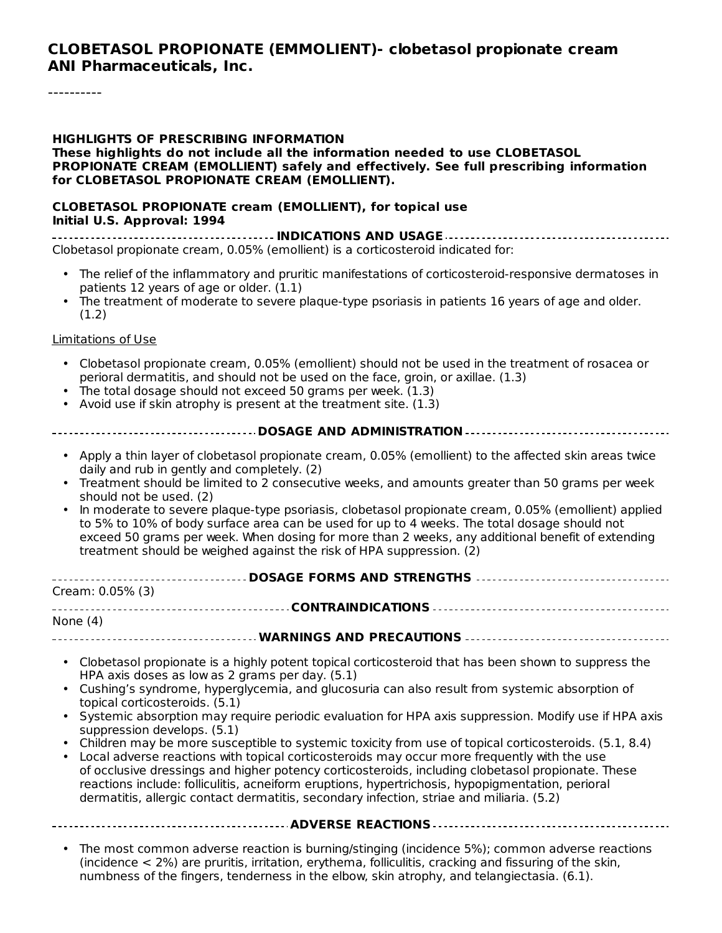#### **CLOBETASOL PROPIONATE (EMMOLIENT)- clobetasol propionate cream ANI Pharmaceuticals, Inc.**

----------

#### **HIGHLIGHTS OF PRESCRIBING INFORMATION**

**These highlights do not include all the information needed to use CLOBETASOL PROPIONATE CREAM (EMOLLIENT) safely and effectively. See full prescribing information for CLOBETASOL PROPIONATE CREAM (EMOLLIENT).**

#### **CLOBETASOL PROPIONATE cream (EMOLLIENT), for topical use Initial U.S. Approval: 1994**

**INDICATIONS AND USAGE** Clobetasol propionate cream, 0.05% (emollient) is a corticosteroid indicated for:

- The relief of the inflammatory and pruritic manifestations of corticosteroid-responsive dermatoses in patients 12 years of age or older. (1.1)
- The treatment of moderate to severe plaque-type psoriasis in patients 16 years of age and older.  $(1.2)$

#### Limitations of Use

- Clobetasol propionate cream, 0.05% (emollient) should not be used in the treatment of rosacea or perioral dermatitis, and should not be used on the face, groin, or axillae. (1.3)
- The total dosage should not exceed 50 grams per week. (1.3)
- Avoid use if skin atrophy is present at the treatment site. (1.3)

- Apply a thin layer of clobetasol propionate cream, 0.05% (emollient) to the affected skin areas twice daily and rub in gently and completely. (2)
- Treatment should be limited to 2 consecutive weeks, and amounts greater than 50 grams per week should not be used. (2)
- In moderate to severe plaque-type psoriasis, clobetasol propionate cream, 0.05% (emollient) applied to 5% to 10% of body surface area can be used for up to 4 weeks. The total dosage should not exceed 50 grams per week. When dosing for more than 2 weeks, any additional benefit of extending treatment should be weighed against the risk of HPA suppression. (2)

| Cream: 0.05% (3) |  |
|------------------|--|
|                  |  |
| None (4)         |  |
|                  |  |

- Clobetasol propionate is a highly potent topical corticosteroid that has been shown to suppress the HPA axis doses as low as 2 grams per day. (5.1)
- Cushing's syndrome, hyperglycemia, and glucosuria can also result from systemic absorption of topical corticosteroids. (5.1)
- Systemic absorption may require periodic evaluation for HPA axis suppression. Modify use if HPA axis suppression develops. (5.1)
- Children may be more susceptible to systemic toxicity from use of topical corticosteroids. (5.1, 8.4)
- Local adverse reactions with topical corticosteroids may occur more frequently with the use of occlusive dressings and higher potency corticosteroids, including clobetasol propionate. These reactions include: folliculitis, acneiform eruptions, hypertrichosis, hypopigmentation, perioral dermatitis, allergic contact dermatitis, secondary infection, striae and miliaria. (5.2)

#### **ADVERSE REACTIONS**

• The most common adverse reaction is burning/stinging (incidence 5%); common adverse reactions (incidence < 2%) are pruritis, irritation, erythema, folliculitis, cracking and fissuring of the skin, numbness of the fingers, tenderness in the elbow, skin atrophy, and telangiectasia. (6.1).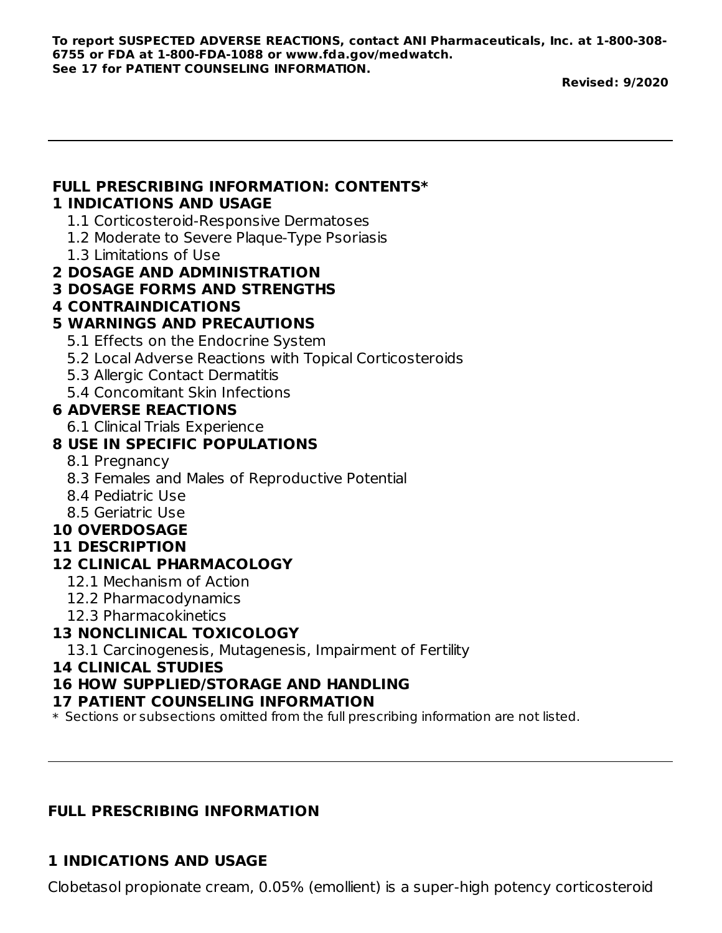**To report SUSPECTED ADVERSE REACTIONS, contact ANI Pharmaceuticals, Inc. at 1-800-308- 6755 or FDA at 1-800-FDA-1088 or www.fda.gov/medwatch. See 17 for PATIENT COUNSELING INFORMATION.**

**Revised: 9/2020**

# **FULL PRESCRIBING INFORMATION: CONTENTS\***

#### **1 INDICATIONS AND USAGE**

- 1.1 Corticosteroid-Responsive Dermatoses
- 1.2 Moderate to Severe Plaque-Type Psoriasis
- 1.3 Limitations of Use
- **2 DOSAGE AND ADMINISTRATION**
- **3 DOSAGE FORMS AND STRENGTHS**
- **4 CONTRAINDICATIONS**

## **5 WARNINGS AND PRECAUTIONS**

- 5.1 Effects on the Endocrine System
- 5.2 Local Adverse Reactions with Topical Corticosteroids
- 5.3 Allergic Contact Dermatitis
- 5.4 Concomitant Skin Infections

## **6 ADVERSE REACTIONS**

6.1 Clinical Trials Experience

## **8 USE IN SPECIFIC POPULATIONS**

- 8.1 Pregnancy
- 8.3 Females and Males of Reproductive Potential
- 8.4 Pediatric Use
- 8.5 Geriatric Use

## **10 OVERDOSAGE**

#### **11 DESCRIPTION**

## **12 CLINICAL PHARMACOLOGY**

- 12.1 Mechanism of Action
- 12.2 Pharmacodynamics
- 12.3 Pharmacokinetics

## **13 NONCLINICAL TOXICOLOGY**

13.1 Carcinogenesis, Mutagenesis, Impairment of Fertility

#### **14 CLINICAL STUDIES**

## **16 HOW SUPPLIED/STORAGE AND HANDLING**

## **17 PATIENT COUNSELING INFORMATION**

 $\ast$  Sections or subsections omitted from the full prescribing information are not listed.

# **FULL PRESCRIBING INFORMATION**

# **1 INDICATIONS AND USAGE**

Clobetasol propionate cream, 0.05% (emollient) is a super-high potency corticosteroid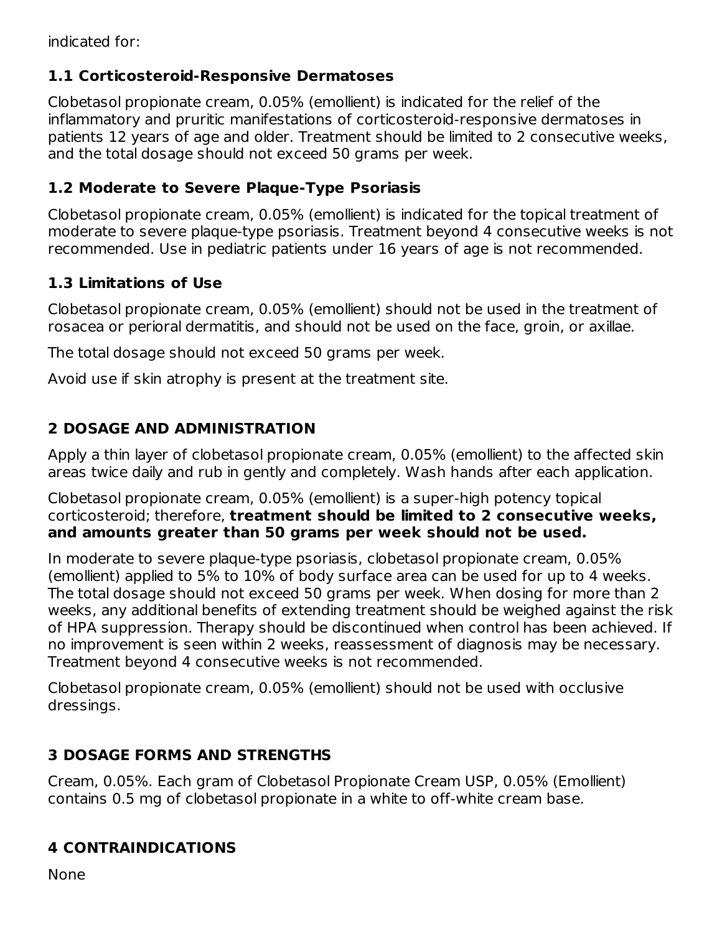indicated for:

# **1.1 Corticosteroid-Responsive Dermatoses**

Clobetasol propionate cream, 0.05% (emollient) is indicated for the relief of the inflammatory and pruritic manifestations of corticosteroid-responsive dermatoses in patients 12 years of age and older. Treatment should be limited to 2 consecutive weeks, and the total dosage should not exceed 50 grams per week.

## **1.2 Moderate to Severe Plaque-Type Psoriasis**

Clobetasol propionate cream, 0.05% (emollient) is indicated for the topical treatment of moderate to severe plaque-type psoriasis. Treatment beyond 4 consecutive weeks is not recommended. Use in pediatric patients under 16 years of age is not recommended.

# **1.3 Limitations of Use**

Clobetasol propionate cream, 0.05% (emollient) should not be used in the treatment of rosacea or perioral dermatitis, and should not be used on the face, groin, or axillae.

The total dosage should not exceed 50 grams per week.

Avoid use if skin atrophy is present at the treatment site.

# **2 DOSAGE AND ADMINISTRATION**

Apply a thin layer of clobetasol propionate cream, 0.05% (emollient) to the affected skin areas twice daily and rub in gently and completely. Wash hands after each application.

Clobetasol propionate cream, 0.05% (emollient) is a super-high potency topical corticosteroid; therefore, **treatment should be limited to 2 consecutive weeks, and amounts greater than 50 grams per week should not be used.**

In moderate to severe plaque-type psoriasis, clobetasol propionate cream, 0.05% (emollient) applied to 5% to 10% of body surface area can be used for up to 4 weeks. The total dosage should not exceed 50 grams per week. When dosing for more than 2 weeks, any additional benefits of extending treatment should be weighed against the risk of HPA suppression. Therapy should be discontinued when control has been achieved. If no improvement is seen within 2 weeks, reassessment of diagnosis may be necessary. Treatment beyond 4 consecutive weeks is not recommended.

Clobetasol propionate cream, 0.05% (emollient) should not be used with occlusive dressings.

# **3 DOSAGE FORMS AND STRENGTHS**

Cream, 0.05%. Each gram of Clobetasol Propionate Cream USP, 0.05% (Emollient) contains 0.5 mg of clobetasol propionate in a white to off-white cream base.

# **4 CONTRAINDICATIONS**

None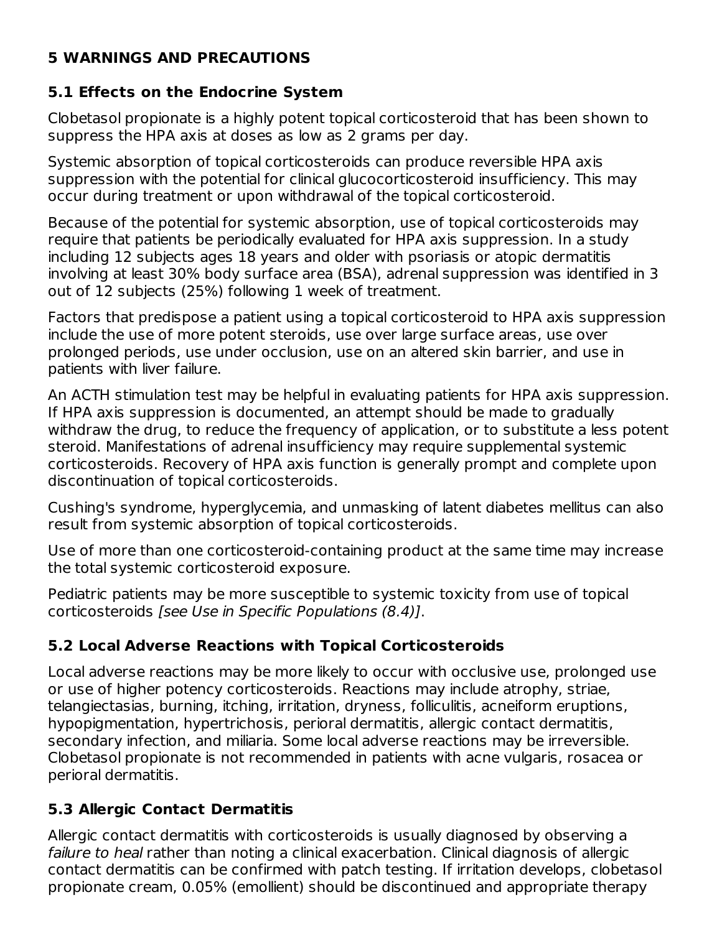## **5 WARNINGS AND PRECAUTIONS**

# **5.1 Effects on the Endocrine System**

Clobetasol propionate is a highly potent topical corticosteroid that has been shown to suppress the HPA axis at doses as low as 2 grams per day.

Systemic absorption of topical corticosteroids can produce reversible HPA axis suppression with the potential for clinical glucocorticosteroid insufficiency. This may occur during treatment or upon withdrawal of the topical corticosteroid.

Because of the potential for systemic absorption, use of topical corticosteroids may require that patients be periodically evaluated for HPA axis suppression. In a study including 12 subjects ages 18 years and older with psoriasis or atopic dermatitis involving at least 30% body surface area (BSA), adrenal suppression was identified in 3 out of 12 subjects (25%) following 1 week of treatment.

Factors that predispose a patient using a topical corticosteroid to HPA axis suppression include the use of more potent steroids, use over large surface areas, use over prolonged periods, use under occlusion, use on an altered skin barrier, and use in patients with liver failure.

An ACTH stimulation test may be helpful in evaluating patients for HPA axis suppression. If HPA axis suppression is documented, an attempt should be made to gradually withdraw the drug, to reduce the frequency of application, or to substitute a less potent steroid. Manifestations of adrenal insufficiency may require supplemental systemic corticosteroids. Recovery of HPA axis function is generally prompt and complete upon discontinuation of topical corticosteroids.

Cushing's syndrome, hyperglycemia, and unmasking of latent diabetes mellitus can also result from systemic absorption of topical corticosteroids.

Use of more than one corticosteroid-containing product at the same time may increase the total systemic corticosteroid exposure.

Pediatric patients may be more susceptible to systemic toxicity from use of topical corticosteroids [see Use in Specific Populations (8.4)].

# **5.2 Local Adverse Reactions with Topical Corticosteroids**

Local adverse reactions may be more likely to occur with occlusive use, prolonged use or use of higher potency corticosteroids. Reactions may include atrophy, striae, telangiectasias, burning, itching, irritation, dryness, folliculitis, acneiform eruptions, hypopigmentation, hypertrichosis, perioral dermatitis, allergic contact dermatitis, secondary infection, and miliaria. Some local adverse reactions may be irreversible. Clobetasol propionate is not recommended in patients with acne vulgaris, rosacea or perioral dermatitis.

# **5.3 Allergic Contact Dermatitis**

Allergic contact dermatitis with corticosteroids is usually diagnosed by observing a failure to heal rather than noting a clinical exacerbation. Clinical diagnosis of allergic contact dermatitis can be confirmed with patch testing. If irritation develops, clobetasol propionate cream, 0.05% (emollient) should be discontinued and appropriate therapy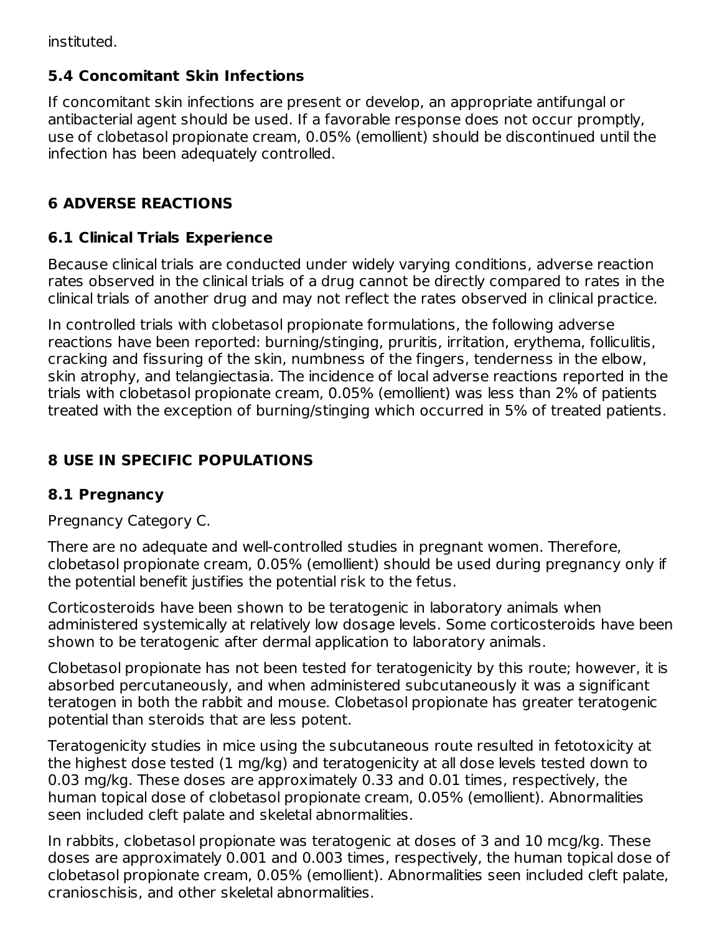instituted.

# **5.4 Concomitant Skin Infections**

If concomitant skin infections are present or develop, an appropriate antifungal or antibacterial agent should be used. If a favorable response does not occur promptly, use of clobetasol propionate cream, 0.05% (emollient) should be discontinued until the infection has been adequately controlled.

# **6 ADVERSE REACTIONS**

# **6.1 Clinical Trials Experience**

Because clinical trials are conducted under widely varying conditions, adverse reaction rates observed in the clinical trials of a drug cannot be directly compared to rates in the clinical trials of another drug and may not reflect the rates observed in clinical practice.

In controlled trials with clobetasol propionate formulations, the following adverse reactions have been reported: burning/stinging, pruritis, irritation, erythema, folliculitis, cracking and fissuring of the skin, numbness of the fingers, tenderness in the elbow, skin atrophy, and telangiectasia. The incidence of local adverse reactions reported in the trials with clobetasol propionate cream, 0.05% (emollient) was less than 2% of patients treated with the exception of burning/stinging which occurred in 5% of treated patients.

# **8 USE IN SPECIFIC POPULATIONS**

# **8.1 Pregnancy**

Pregnancy Category C.

There are no adequate and well-controlled studies in pregnant women. Therefore, clobetasol propionate cream, 0.05% (emollient) should be used during pregnancy only if the potential benefit justifies the potential risk to the fetus.

Corticosteroids have been shown to be teratogenic in laboratory animals when administered systemically at relatively low dosage levels. Some corticosteroids have been shown to be teratogenic after dermal application to laboratory animals.

Clobetasol propionate has not been tested for teratogenicity by this route; however, it is absorbed percutaneously, and when administered subcutaneously it was a significant teratogen in both the rabbit and mouse. Clobetasol propionate has greater teratogenic potential than steroids that are less potent.

Teratogenicity studies in mice using the subcutaneous route resulted in fetotoxicity at the highest dose tested (1 mg/kg) and teratogenicity at all dose levels tested down to 0.03 mg/kg. These doses are approximately 0.33 and 0.01 times, respectively, the human topical dose of clobetasol propionate cream, 0.05% (emollient). Abnormalities seen included cleft palate and skeletal abnormalities.

In rabbits, clobetasol propionate was teratogenic at doses of 3 and 10 mcg/kg. These doses are approximately 0.001 and 0.003 times, respectively, the human topical dose of clobetasol propionate cream, 0.05% (emollient). Abnormalities seen included cleft palate, cranioschisis, and other skeletal abnormalities.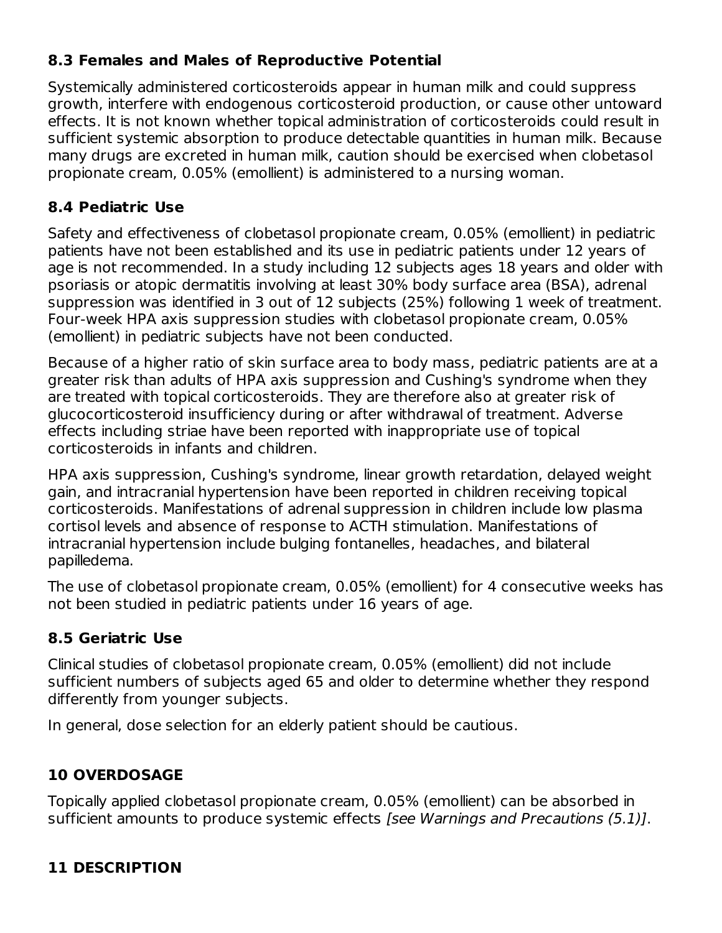## **8.3 Females and Males of Reproductive Potential**

cranioschisis, and other skeletal abnormalities.

Systemically administered corticosteroids appear in human milk and could suppress growth, interfere with endogenous corticosteroid production, or cause other untoward effects. It is not known whether topical administration of corticosteroids could result in sufficient systemic absorption to produce detectable quantities in human milk. Because many drugs are excreted in human milk, caution should be exercised when clobetasol propionate cream, 0.05% (emollient) is administered to a nursing woman.

## **8.4 Pediatric Use**

Safety and effectiveness of clobetasol propionate cream, 0.05% (emollient) in pediatric patients have not been established and its use in pediatric patients under 12 years of age is not recommended. In a study including 12 subjects ages 18 years and older with psoriasis or atopic dermatitis involving at least 30% body surface area (BSA), adrenal suppression was identified in 3 out of 12 subjects (25%) following 1 week of treatment. Four-week HPA axis suppression studies with clobetasol propionate cream, 0.05% (emollient) in pediatric subjects have not been conducted.

Because of a higher ratio of skin surface area to body mass, pediatric patients are at a greater risk than adults of HPA axis suppression and Cushing's syndrome when they are treated with topical corticosteroids. They are therefore also at greater risk of glucocorticosteroid insufficiency during or after withdrawal of treatment. Adverse effects including striae have been reported with inappropriate use of topical corticosteroids in infants and children.

HPA axis suppression, Cushing's syndrome, linear growth retardation, delayed weight gain, and intracranial hypertension have been reported in children receiving topical corticosteroids. Manifestations of adrenal suppression in children include low plasma cortisol levels and absence of response to ACTH stimulation. Manifestations of intracranial hypertension include bulging fontanelles, headaches, and bilateral papilledema.

The use of clobetasol propionate cream, 0.05% (emollient) for 4 consecutive weeks has not been studied in pediatric patients under 16 years of age.

# **8.5 Geriatric Use**

Clinical studies of clobetasol propionate cream, 0.05% (emollient) did not include sufficient numbers of subjects aged 65 and older to determine whether they respond differently from younger subjects.

In general, dose selection for an elderly patient should be cautious.

# **10 OVERDOSAGE**

Topically applied clobetasol propionate cream, 0.05% (emollient) can be absorbed in sufficient amounts to produce systemic effects [see Warnings and Precautions (5.1)].

# **11 DESCRIPTION**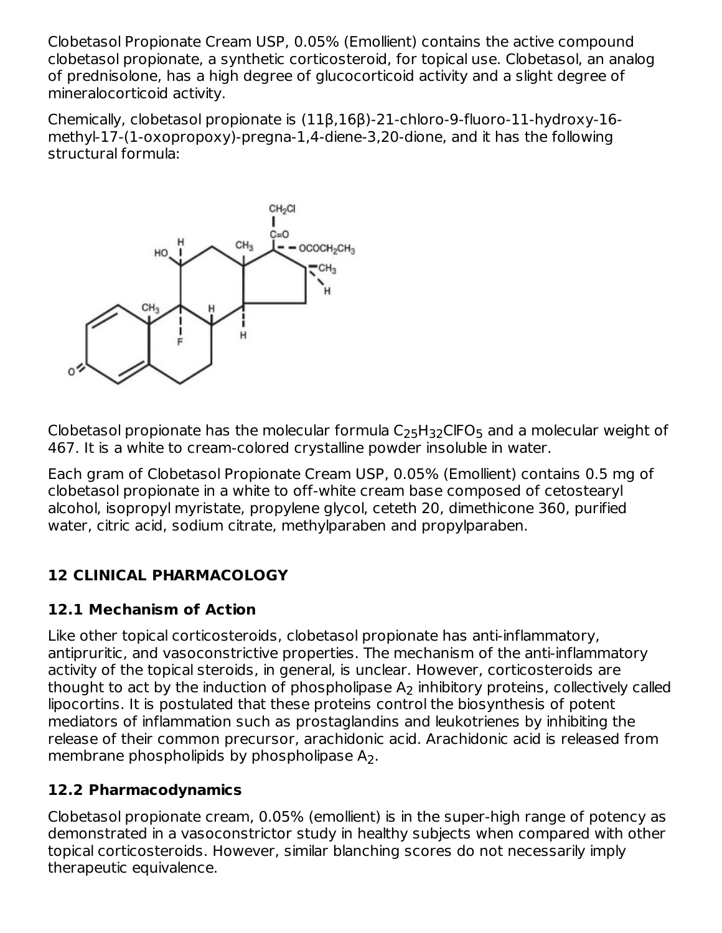Clobetasol Propionate Cream USP, 0.05% (Emollient) contains the active compound clobetasol propionate, a synthetic corticosteroid, for topical use. Clobetasol, an analog of prednisolone, has a high degree of glucocorticoid activity and a slight degree of mineralocorticoid activity.

Chemically, clobetasol propionate is (11β,16β)-21-chloro-9-fluoro-11-hydroxy-16 methyl-17-(1-oxopropoxy)-pregna-1,4-diene-3,20-dione, and it has the following structural formula:



Clobetasol propionate has the molecular formula  $\mathsf{C}_{25}\mathsf{H}_{32}\mathsf{C}\mathsf{IFO}_{5}$  and a molecular weight of 467. It is a white to cream-colored crystalline powder insoluble in water.

Each gram of Clobetasol Propionate Cream USP, 0.05% (Emollient) contains 0.5 mg of clobetasol propionate in a white to off-white cream base composed of cetostearyl alcohol, isopropyl myristate, propylene glycol, ceteth 20, dimethicone 360, purified water, citric acid, sodium citrate, methylparaben and propylparaben.

# **12 CLINICAL PHARMACOLOGY**

## **12.1 Mechanism of Action**

Like other topical corticosteroids, clobetasol propionate has anti-inflammatory, antipruritic, and vasoconstrictive properties. The mechanism of the anti-inflammatory activity of the topical steroids, in general, is unclear. However, corticosteroids are thought to act by the induction of phospholipase  ${\sf A}_2$  inhibitory proteins, collectively called lipocortins. It is postulated that these proteins control the biosynthesis of potent mediators of inflammation such as prostaglandins and leukotrienes by inhibiting the release of their common precursor, arachidonic acid. Arachidonic acid is released from membrane phospholipids by phospholipase  $\mathsf{A}_2$ .

# **12.2 Pharmacodynamics**

Clobetasol propionate cream, 0.05% (emollient) is in the super-high range of potency as demonstrated in a vasoconstrictor study in healthy subjects when compared with other topical corticosteroids. However, similar blanching scores do not necessarily imply therapeutic equivalence.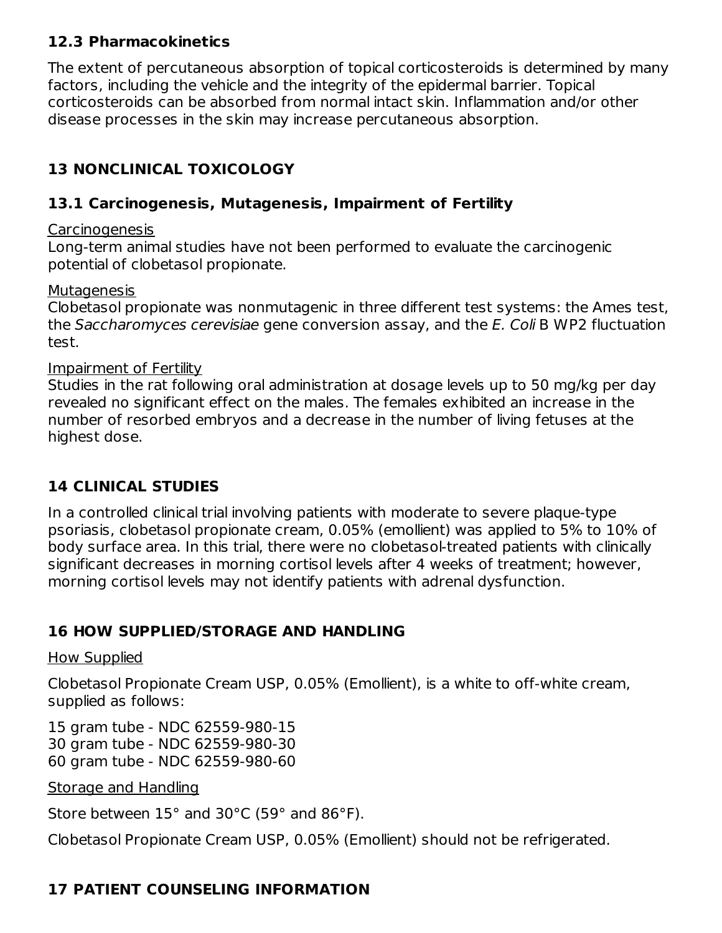#### **12.3 Pharmacokinetics**

The extent of percutaneous absorption of topical corticosteroids is determined by many factors, including the vehicle and the integrity of the epidermal barrier. Topical corticosteroids can be absorbed from normal intact skin. Inflammation and/or other disease processes in the skin may increase percutaneous absorption.

# **13 NONCLINICAL TOXICOLOGY**

#### **13.1 Carcinogenesis, Mutagenesis, Impairment of Fertility**

#### Carcinogenesis

Long-term animal studies have not been performed to evaluate the carcinogenic potential of clobetasol propionate.

#### **Mutagenesis**

Clobetasol propionate was nonmutagenic in three different test systems: the Ames test, the Saccharomyces cerevisiae gene conversion assay, and the E. Coli B WP2 fluctuation test.

#### Impairment of Fertility

Studies in the rat following oral administration at dosage levels up to 50 mg/kg per day revealed no significant effect on the males. The females exhibited an increase in the number of resorbed embryos and a decrease in the number of living fetuses at the highest dose.

## **14 CLINICAL STUDIES**

In a controlled clinical trial involving patients with moderate to severe plaque-type psoriasis, clobetasol propionate cream, 0.05% (emollient) was applied to 5% to 10% of body surface area. In this trial, there were no clobetasol-treated patients with clinically significant decreases in morning cortisol levels after 4 weeks of treatment; however, morning cortisol levels may not identify patients with adrenal dysfunction.

## **16 HOW SUPPLIED/STORAGE AND HANDLING**

#### How Supplied

Clobetasol Propionate Cream USP, 0.05% (Emollient), is a white to off-white cream, supplied as follows:

15 gram tube - NDC 62559-980-15 30 gram tube - NDC 62559-980-30 60 gram tube - NDC 62559-980-60

#### Storage and Handling

Store between 15° and 30°C (59° and 86°F).

Clobetasol Propionate Cream USP, 0.05% (Emollient) should not be refrigerated.

# **17 PATIENT COUNSELING INFORMATION**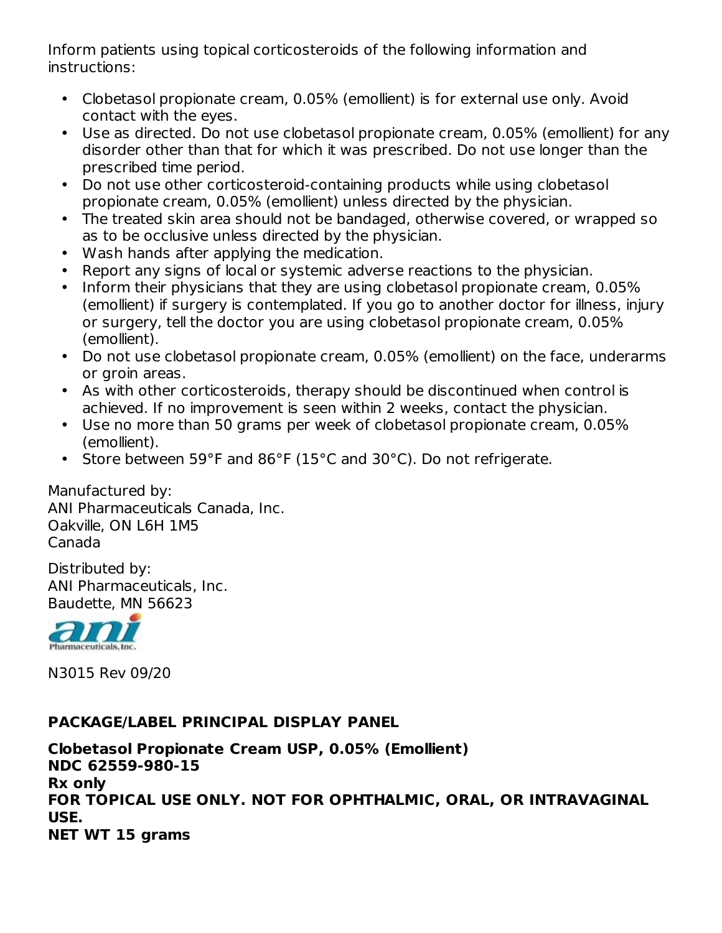Inform patients using topical corticosteroids of the following information and instructions:

- Clobetasol propionate cream, 0.05% (emollient) is for external use only. Avoid contact with the eyes.
- Use as directed. Do not use clobetasol propionate cream, 0.05% (emollient) for any disorder other than that for which it was prescribed. Do not use longer than the prescribed time period.
- Do not use other corticosteroid-containing products while using clobetasol propionate cream, 0.05% (emollient) unless directed by the physician.
- The treated skin area should not be bandaged, otherwise covered, or wrapped so as to be occlusive unless directed by the physician.
- Wash hands after applying the medication.
- Report any signs of local or systemic adverse reactions to the physician.
- Inform their physicians that they are using clobetasol propionate cream, 0.05% (emollient) if surgery is contemplated. If you go to another doctor for illness, injury or surgery, tell the doctor you are using clobetasol propionate cream, 0.05% (emollient).
- Do not use clobetasol propionate cream, 0.05% (emollient) on the face, underarms or groin areas.
- As with other corticosteroids, therapy should be discontinued when control is achieved. If no improvement is seen within 2 weeks, contact the physician.
- Use no more than 50 grams per week of clobetasol propionate cream, 0.05% (emollient).
- Store between 59°F and 86°F (15°C and 30°C). Do not refrigerate.

Manufactured by: ANI Pharmaceuticals Canada, Inc. Oakville, ON L6H 1M5 Canada

Distributed by: ANI Pharmaceuticals, Inc. Baudette, MN 56623



N3015 Rev 09/20

## **PACKAGE/LABEL PRINCIPAL DISPLAY PANEL**

**Clobetasol Propionate Cream USP, 0.05% (Emollient) NDC 62559-980-15 Rx only FOR TOPICAL USE ONLY. NOT FOR OPHTHALMIC, ORAL, OR INTRAVAGINAL USE. NET WT 15 grams**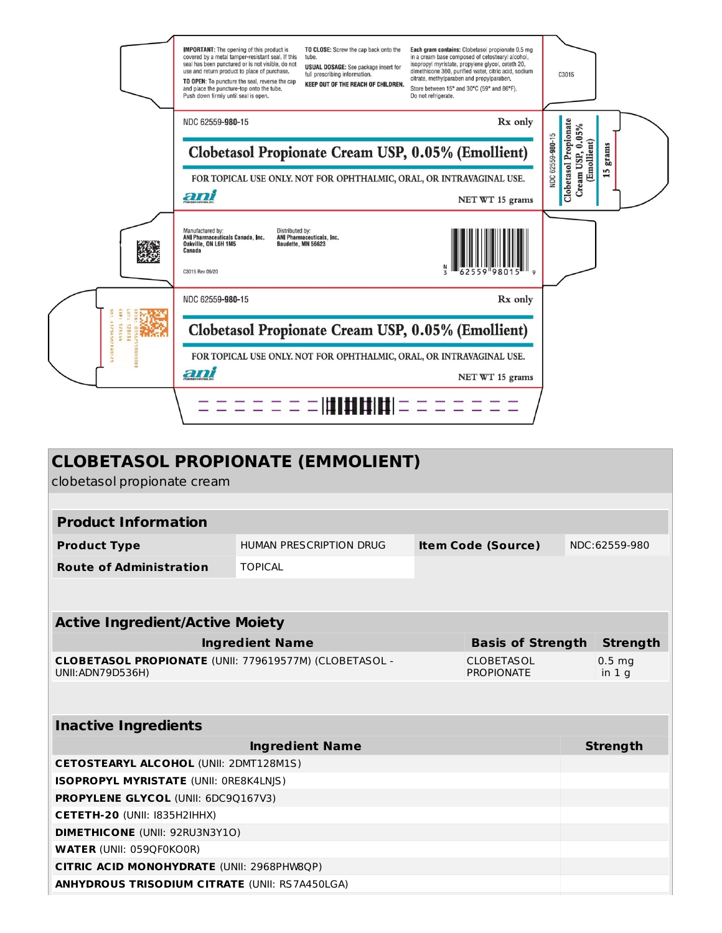|                                 | <b>IMPORTANT:</b> The opening of this product is<br>TO CLOSE: Screw the cap back onto the<br>covered by a metal tamper-resistant seal. If this<br>tube.<br>seal has been punctured or is not visible, do not<br><b>USUAL DOSAGE:</b> See package insert for<br>use and return product to place of purchase.<br>full prescribing information.<br>TO OPEN: To puncture the seal, reverse the cap<br>KEEP OUT OF THE REACH OF CHILDREN.<br>and place the puncture-top onto the tube.<br>Push down firmly until seal is open. | Each gram contains: Clobetasol propionate 0.5 mg<br>in a cream base composed of cetostearyl alcohol,<br>isopropyl myristate, propylene glycol, ceteth 20,<br>dimethicone 360, purified water, citric acid, sodium<br>citrate, methylparaben and propylparaben,<br>Store between 15° and 30°C (59° and 86°F).<br>Do not refrigerate. | C3015                                                                                 |
|---------------------------------|---------------------------------------------------------------------------------------------------------------------------------------------------------------------------------------------------------------------------------------------------------------------------------------------------------------------------------------------------------------------------------------------------------------------------------------------------------------------------------------------------------------------------|-------------------------------------------------------------------------------------------------------------------------------------------------------------------------------------------------------------------------------------------------------------------------------------------------------------------------------------|---------------------------------------------------------------------------------------|
|                                 | NDC 62559-980-15<br>Clobetasol Propionate Cream USP, 0.05% (Emollient)                                                                                                                                                                                                                                                                                                                                                                                                                                                    | Rx only                                                                                                                                                                                                                                                                                                                             | Clobetasol Propionate<br>Cream USP, 0.05%<br>NDC 62559-980-15<br>(Emollient)<br>grams |
|                                 | FOR TOPICAL USE ONLY. NOT FOR OPHTHALMIC, ORAL, OR INTRAVAGINAL USE.<br>ani                                                                                                                                                                                                                                                                                                                                                                                                                                               | NET WT 15 grams                                                                                                                                                                                                                                                                                                                     | <b>In</b>                                                                             |
|                                 | Manufactured by:<br>Distributed by:<br>ANI Pharmaceuticals Canada, Inc.<br>ANI Pharmaceuticals, Inc.<br>Oakville, ON L6H 1M5<br>Baudette, MN 56623<br>Canada<br>C3015 Rev 09/20                                                                                                                                                                                                                                                                                                                                           |                                                                                                                                                                                                                                                                                                                                     |                                                                                       |
|                                 | NDC 62559-980-15                                                                                                                                                                                                                                                                                                                                                                                                                                                                                                          | Rx only                                                                                                                                                                                                                                                                                                                             |                                                                                       |
| A1234567890<br>125456<br>123456 | Clobetasol Propionate Cream USP, 0.05% (Emollient)                                                                                                                                                                                                                                                                                                                                                                                                                                                                        |                                                                                                                                                                                                                                                                                                                                     |                                                                                       |
|                                 | FOR TOPICAL USE ONLY. NOT FOR OPHTHALMIC, ORAL, OR INTRAVAGINAL USE.<br>ani                                                                                                                                                                                                                                                                                                                                                                                                                                               | NET WT 15 grams                                                                                                                                                                                                                                                                                                                     |                                                                                       |
|                                 | $\equiv \equiv$ [[] [] [] $\parallel$                                                                                                                                                                                                                                                                                                                                                                                                                                                                                     |                                                                                                                                                                                                                                                                                                                                     |                                                                                       |

| <b>CLOBETASOL PROPIONATE (EMMOLIENT)</b><br>clobetasol propionate cream            |                                |  |                                        |                 |                                        |
|------------------------------------------------------------------------------------|--------------------------------|--|----------------------------------------|-----------------|----------------------------------------|
|                                                                                    |                                |  |                                        |                 |                                        |
| <b>Product Information</b>                                                         |                                |  |                                        |                 |                                        |
| <b>Product Type</b>                                                                | <b>HUMAN PRESCRIPTION DRUG</b> |  | <b>Item Code (Source)</b>              |                 | NDC:62559-980                          |
| <b>Route of Administration</b>                                                     | <b>TOPICAL</b>                 |  |                                        |                 |                                        |
|                                                                                    |                                |  |                                        |                 |                                        |
| <b>Active Ingredient/Active Moiety</b>                                             |                                |  |                                        |                 |                                        |
| <b>Ingredient Name</b><br><b>Basis of Strength</b>                                 |                                |  |                                        | <b>Strength</b> |                                        |
| <b>CLOBETASOL PROPIONATE (UNII: 779619577M) (CLOBETASOL -</b><br>UNII: ADN79D536H) |                                |  | <b>CLOBETASOL</b><br><b>PROPIONATE</b> |                 | 0.5 <sub>mg</sub><br>in 1 <sub>q</sub> |
|                                                                                    |                                |  |                                        |                 |                                        |
| <b>Inactive Ingredients</b>                                                        |                                |  |                                        |                 |                                        |
| <b>Ingredient Name</b>                                                             |                                |  | <b>Strength</b>                        |                 |                                        |
| <b>CETOSTEARYL ALCOHOL (UNII: 2DMT128M1S)</b>                                      |                                |  |                                        |                 |                                        |
| ISOPROPYL MYRISTATE (UNII: ORE8K4LNJS)                                             |                                |  |                                        |                 |                                        |
| <b>PROPYLENE GLYCOL (UNII: 6DC90167V3)</b>                                         |                                |  |                                        |                 |                                        |
| CETETH-20 (UNII: I835H2IHHX)                                                       |                                |  |                                        |                 |                                        |
| <b>DIMETHICONE (UNII: 92RU3N3Y1O)</b>                                              |                                |  |                                        |                 |                                        |
| <b>WATER (UNII: 059QF0KO0R)</b>                                                    |                                |  |                                        |                 |                                        |
| <b>CITRIC ACID MONOHYDRATE (UNII: 2968PHW8QP)</b>                                  |                                |  |                                        |                 |                                        |
| <b>ANHYDROUS TRISODIUM CITRATE (UNII: RS7A450LGA)</b>                              |                                |  |                                        |                 |                                        |
|                                                                                    |                                |  |                                        |                 |                                        |